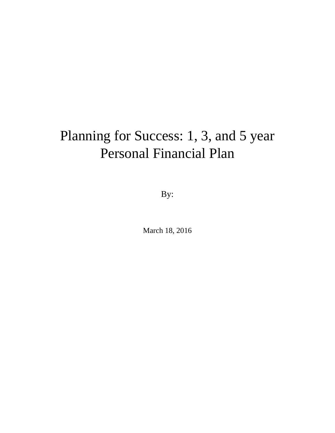# Planning for Success: 1, 3, and 5 year Personal Financial Plan

By:

March 18, 2016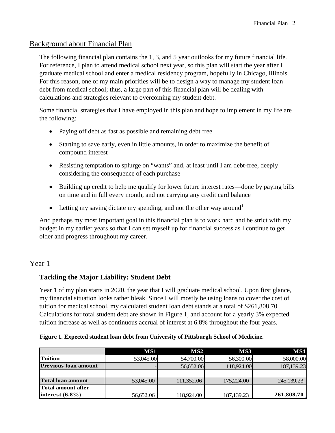#### Background about Financial Plan

The following financial plan contains the 1, 3, and 5 year outlooks for my future financial life. For reference, I plan to attend medical school next year, so this plan will start the year after I graduate medical school and enter a medical residency program, hopefully in Chicago, Illinois. For this reason, one of my main priorities will be to design a way to manage my student loan debt from medical school; thus, a large part of this financial plan will be dealing with calculations and strategies relevant to overcoming my student debt.

Some financial strategies that I have employed in this plan and hope to implement in my life are the following:

- Paying off debt as fast as possible and remaining debt free
- Starting to save early, even in little amounts, in order to maximize the benefit of compound interest
- Resisting temptation to splurge on "wants" and, at least until I am debt-free, deeply considering the consequence of each purchase
- Building up credit to help me qualify for lower future interest rates—done by paying bills on time and in full every month, and not carrying any credit card balance
- Letting my saving dictate my spending, and not the other way around<sup>1</sup>

And perhaps my most important goal in this financial plan is to work hard and be strict with my budget in my earlier years so that I can set myself up for financial success as I continue to get older and progress throughout my career.

# Year 1

#### **Tackling the Major Liability: Student Debt**

Year 1 of my plan starts in 2020, the year that I will graduate medical school. Upon first glance, my financial situation looks rather bleak. Since I will mostly be using loans to cover the cost of tuition for medical school, my calculated student loan debt stands at a total of \$261,808.70. Calculations for total student debt are shown in Figure 1, and account for a yearly 3% expected tuition increase as well as continuous accrual of interest at 6.8% throughout the four years.

#### **Figure 1. Expected student loan debt from University of Pittsburgh School of Medicine.**

|                             | MS1       | MS2        | MS3          | MS4          |
|-----------------------------|-----------|------------|--------------|--------------|
| Tuition                     | 53,045.00 | 54,700.00  | 56,300.00    | 58,000.00    |
| <b>Previous loan amount</b> |           | 56,652.06  | 118,924.00   | 187, 139. 23 |
|                             |           |            |              |              |
| <b>Total loan amount</b>    | 53,045.00 | 111,352.06 | 175,224.00   | 245,139.23   |
| Total amount after          |           |            |              |              |
| interest $(6.8\%)$          | 56,652.06 | 118,924.00 | 187, 139. 23 | 261,808.70   |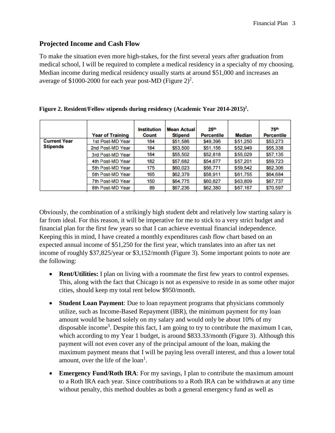#### **Projected Income and Cash Flow**

To make the situation even more high-stakes, for the first several years after graduation from medical school, I will be required to complete a medical residency in a specialty of my choosing. Median income during medical residency usually starts at around \$51,000 and increases an average of \$1000-2000 for each year post-MD (Figure  $2)^2$ .

|                     | <b>Year of Training</b> | <b>Institution</b><br><b>Count</b> | <b>Mean Actual</b><br><b>Stipend</b> | 25 <sup>th</sup><br><b>Percentile</b> | <b>Median</b> | <b>75th</b><br><b>Percentile</b> |
|---------------------|-------------------------|------------------------------------|--------------------------------------|---------------------------------------|---------------|----------------------------------|
| <b>Current Year</b> | 1st Post-MD Year        | 184                                | \$51,586                             | \$49,396                              | \$51,250      | \$53,273                         |
| <b>Stipends</b>     | 2nd Post-MD Year        | 184                                | \$53,500                             | \$51,156                              | \$52,949      | \$55,338                         |
|                     | 3rd Post-MD Year        | 184                                | \$55,502                             | \$52,818                              | \$55,029      | \$57,135                         |
|                     | 4th Post-MD Year        | 182                                | \$57,682                             | \$54,677                              | \$57,201      | \$59,723                         |
|                     | 5th Post-MD Year        | 175                                | \$60,023                             | \$56,771                              | \$59,542      | \$62,306                         |
|                     | 6th Post-MD Year        | 165                                | \$62,379                             | \$58,911                              | \$61,755      | \$64,684                         |
|                     | 7th Post-MD Year        | 150                                | \$64,775                             | \$60,827                              | \$63,809      | \$67,737                         |
|                     | 8th Post-MD Year        | 89                                 | \$67,236                             | \$62,380                              | \$67,167      | \$70,597                         |

| Figure 2. Resident/Fellow stipends during residency (Academic Year 2014-2015) <sup>2</sup> . |  |  |
|----------------------------------------------------------------------------------------------|--|--|
|                                                                                              |  |  |
|                                                                                              |  |  |

Obviously, the combination of a strikingly high student debt and relatively low starting salary is far from ideal. For this reason, it will be imperative for me to stick to a very strict budget and financial plan for the first few years so that I can achieve eventual financial independence. Keeping this in mind, I have created a monthly expenditures cash flow chart based on an expected annual income of \$51,250 for the first year, which translates into an after tax net income of roughly \$37,825/year or \$3,152/month (Figure 3). Some important points to note are the following:

- **Rent/Utilities:** I plan on living with a roommate the first few years to control expenses. This, along with the fact that Chicago is not as expensive to reside in as some other major cities, should keep my total rent below \$950/month.
- **Student Loan Payment**: Due to loan repayment programs that physicians commonly utilize, such as Income-Based Repayment (IBR), the minimum payment for my loan amount would be based solely on my salary and would only be about 10% of my disposable income<sup>3</sup>. Despite this fact, I am going to try to contribute the maximum I can, which according to my Year 1 budget, is around \$833.33/month (Figure 3). Although this payment will not even cover any of the principal amount of the loan, making the maximum payment means that I will be paying less overall interest, and thus a lower total amount, over the life of the  $\text{loan}^1$ .
- **Emergency Fund/Roth IRA:** For my savings, I plan to contribute the maximum amount to a Roth IRA each year. Since contributions to a Roth IRA can be withdrawn at any time without penalty, this method doubles as both a general emergency fund as well as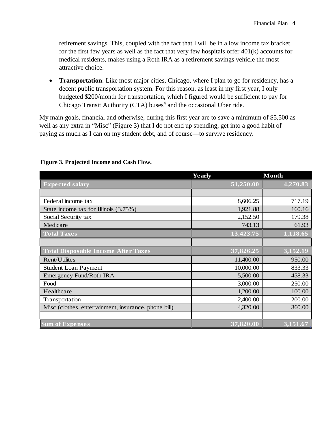retirement savings. This, coupled with the fact that I will be in a low income tax bracket for the first few years as well as the fact that very few hospitals offer 401(k) accounts for medical residents, makes using a Roth IRA as a retirement savings vehicle the most attractive choice.

• **Transportation**: Like most major cities, Chicago, where I plan to go for residency, has a decent public transportation system. For this reason, as least in my first year, I only budgeted \$200/month for transportation, which I figured would be sufficient to pay for Chicago Transit Authority (CTA) buses<sup>4</sup> and the occasional Uber ride.

My main goals, financial and otherwise, during this first year are to save a minimum of \$5,500 as well as any extra in "Misc" (Figure 3) that I do not end up spending, get into a good habit of paying as much as I can on my student debt, and of course—to survive residency.

|                                                      | <b>Yearly</b> | <b>Month</b> |
|------------------------------------------------------|---------------|--------------|
| <b>Expected salary</b>                               | 51,250.00     | 4,270.83     |
|                                                      |               |              |
| Federal income tax                                   | 8,606.25      | 717.19       |
| State income tax for Illinois (3.75%)                | 1,921.88      | 160.16       |
| Social Security tax                                  | 2,152.50      | 179.38       |
| Medicare                                             | 743.13        | 61.93        |
| <b>Total Taxes</b>                                   | 13,423.75     | 1,118.65     |
|                                                      |               |              |
| <b>Total Disposable Income After Taxes</b>           | 37,826.25     | 3,152.19     |
| Rent/Utilites                                        | 11,400.00     | 950.00       |
| <b>Student Loan Payment</b>                          | 10,000.00     | 833.33       |
| Emergency Fund/Roth IRA                              | 5,500.00      | 458.33       |
| Food                                                 | 3,000.00      | 250.00       |
| Healthcare                                           | 1,200.00      | 100.00       |
| Transportation                                       | 2,400.00      | 200.00       |
| Misc (clothes, entertainment, insurance, phone bill) | 4,320.00      | 360.00       |
|                                                      |               |              |
| <b>Sum of Expenses</b>                               | 37,820.00     | 3,151.67     |

#### **Figure 3. Projected Income and Cash Flow.**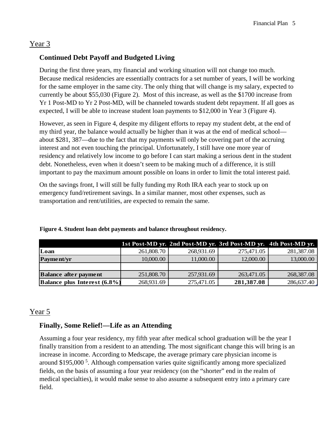# Year 3

# **Continued Debt Payoff and Budgeted Living**

During the first three years, my financial and working situation will not change too much. Because medical residencies are essentially contracts for a set number of years, I will be working for the same employer in the same city. The only thing that will change is my salary, expected to currently be about \$55,030 (Figure 2). Most of this increase, as well as the \$1700 increase from Yr 1 Post-MD to Yr 2 Post-MD, will be channeled towards student debt repayment. If all goes as expected, I will be able to increase student loan payments to \$12,000 in Year 3 (Figure 4).

However, as seen in Figure 4, despite my diligent efforts to repay my student debt, at the end of my third year, the balance would actually be higher than it was at the end of medical school about \$281, 387—due to the fact that my payments will only be covering part of the accruing interest and not even touching the principal. Unfortunately, I still have one more year of residency and relatively low income to go before I can start making a serious dent in the student debt. Nonetheless, even when it doesn't seem to be making much of a difference, it is still important to pay the maximum amount possible on loans in order to limit the total interest paid.

On the savings front, I will still be fully funding my Roth IRA each year to stock up on emergency fund/retirement savings. In a similar manner, most other expenses, such as transportation and rent/utilities, are expected to remain the same.

|                                     |            |            | 1st Post-MD yr. 2nd Post-MD yr. 3rd Post-MD yr. 4th Post-MD yr. |            |
|-------------------------------------|------------|------------|-----------------------------------------------------------------|------------|
| Loan                                | 261,808.70 | 268,931.69 | 275,471.05                                                      | 281,387.08 |
| Payment/yr                          | 10,000.00  | 11,000.00  | 12,000.00                                                       | 13,000.00  |
|                                     |            |            |                                                                 |            |
| <b>Balance after payment</b>        | 251,808.70 | 257,931.69 | 263,471.05                                                      | 268,387.08 |
| <b>Balance plus Interest (6.8%)</b> | 268,931.69 | 275,471.05 | 281,387.08                                                      | 286,637.40 |

**Figure 4. Student loan debt payments and balance throughout residency.** 

# Year 5

# **Finally, Some Relief!—Life as an Attending**

Assuming a four year residency, my fifth year after medical school graduation will be the year I finally transition from a resident to an attending. The most significant change this will bring is an increase in income. According to Medscape, the average primary care physician income is around \$195,000<sup>5</sup>. Although compensation varies quite significantly among more specialized fields, on the basis of assuming a four year residency (on the "shorter" end in the realm of medical specialties), it would make sense to also assume a subsequent entry into a primary care field.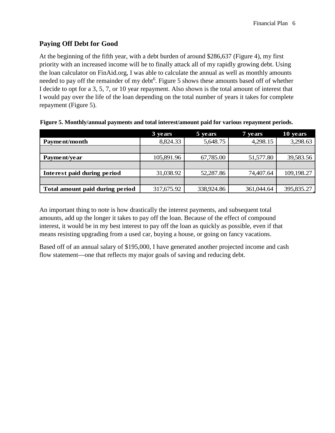### **Paying Off Debt for Good**

At the beginning of the fifth year, with a debt burden of around \$286,637 (Figure 4), my first priority with an increased income will be to finally attack all of my rapidly growing debt. Using the loan calculator on FinAid.org, I was able to calculate the annual as well as monthly amounts needed to pay off the remainder of my debt<sup>6</sup>. Figure 5 shows these amounts based off of whether I decide to opt for a 3, 5, 7, or 10 year repayment. Also shown is the total amount of interest that I would pay over the life of the loan depending on the total number of years it takes for complete repayment (Figure 5).

|                                 | 3 years    | 5 years    | 7 years    | 10 years   |
|---------------------------------|------------|------------|------------|------------|
| Payment/month                   | 8,824.33   | 5,648.75   | 4,298.15   | 3,298.63   |
|                                 |            |            |            |            |
| Payment/year                    | 105,891.96 | 67,785.00  | 51,577.80  | 39,583.56  |
|                                 |            |            |            |            |
| Interest paid during period     | 31,038.92  | 52,287.86  | 74,407.64  | 109,198.27 |
|                                 |            |            |            |            |
| Total amount paid during period | 317,675.92 | 338,924.86 | 361,044.64 | 395,835.27 |

|  | Figure 5. Monthly/annual payments and total interest/amount paid for various repayment periods. |
|--|-------------------------------------------------------------------------------------------------|
|  |                                                                                                 |

An important thing to note is how drastically the interest payments, and subsequent total amounts, add up the longer it takes to pay off the loan. Because of the effect of compound interest, it would be in my best interest to pay off the loan as quickly as possible, even if that means resisting upgrading from a used car, buying a house, or going on fancy vacations.

Based off of an annual salary of \$195,000, I have generated another projected income and cash flow statement—one that reflects my major goals of saving and reducing debt.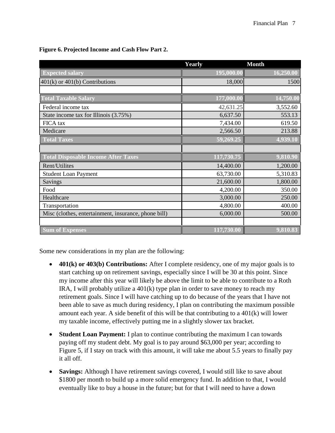|                                                      | Yearly     | <b>Month</b> |
|------------------------------------------------------|------------|--------------|
| <b>Expected salary</b>                               | 195,000.00 | 16,250.00    |
| $401(k)$ or $401(b)$ Contributions                   | 18,000     | 1500         |
|                                                      |            |              |
| <b>Total Taxable Salary</b>                          | 177,000.00 | 14,750.00    |
| Federal income tax                                   | 42,631.25  | 3,552.60     |
| State income tax for Illinois (3.75%)                | 6,637.50   | 553.13       |
| FICA tax                                             | 7,434.00   | 619.50       |
| Medicare                                             | 2,566.50   | 213.88       |
| <b>Total Taxes</b>                                   | 59,269.25  | 4,939.10     |
|                                                      |            |              |
| <b>Total Disposable Income After Taxes</b>           | 117,730.75 | 9,810.90     |
| Rent/Utilites                                        | 14,400.00  | 1,200.00     |
| <b>Student Loan Payment</b>                          | 63,730.00  | 5,310.83     |
| Savings                                              | 21,600.00  | 1,800.00     |
| Food                                                 | 4,200.00   | 350.00       |
| Healthcare                                           | 3,000.00   | 250.00       |
| Transportation                                       | 4,800.00   | 400.00       |
| Misc (clothes, entertainment, insurance, phone bill) | 6,000.00   | 500.00       |
|                                                      |            |              |
| <b>Sum of Expenses</b>                               | 117,730.00 | 9,810.83     |

#### **Figure 6. Projected Income and Cash Flow Part 2.**

Some new considerations in my plan are the following:

- **401(k) or 403(b) Contributions:** After I complete residency, one of my major goals is to start catching up on retirement savings, especially since I will be 30 at this point. Since my income after this year will likely be above the limit to be able to contribute to a Roth IRA, I will probably utilize a 401(k) type plan in order to save money to reach my retirement goals. Since I will have catching up to do because of the years that I have not been able to save as much during residency, I plan on contributing the maximum possible amount each year. A side benefit of this will be that contributing to a 401(k) will lower my taxable income, effectively putting me in a slightly slower tax bracket.
- **Student Loan Payment:** I plan to continue contributing the maximum I can towards paying off my student debt. My goal is to pay around \$63,000 per year; according to Figure 5, if I stay on track with this amount, it will take me about 5.5 years to finally pay it all off.
- **Savings:** Although I have retirement savings covered, I would still like to save about \$1800 per month to build up a more solid emergency fund. In addition to that, I would eventually like to buy a house in the future; but for that I will need to have a down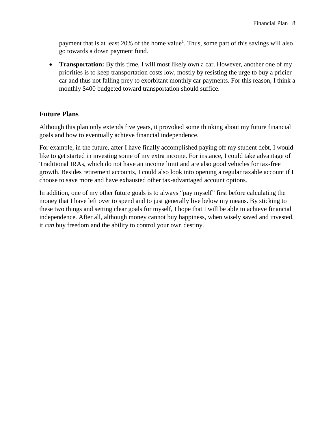payment that is at least 20% of the home value<sup>1</sup>. Thus, some part of this savings will also go towards a down payment fund.

• **Transportation:** By this time, I will most likely own a car. However, another one of my priorities is to keep transportation costs low, mostly by resisting the urge to buy a pricier car and thus not falling prey to exorbitant monthly car payments. For this reason, I think a monthly \$400 budgeted toward transportation should suffice.

#### **Future Plans**

Although this plan only extends five years, it provoked some thinking about my future financial goals and how to eventually achieve financial independence.

For example, in the future, after I have finally accomplished paying off my student debt, I would like to get started in investing some of my extra income. For instance, I could take advantage of Traditional IRAs, which do not have an income limit and are also good vehicles for tax-free growth. Besides retirement accounts, I could also look into opening a regular taxable account if I choose to save more and have exhausted other tax-advantaged account options.

In addition, one of my other future goals is to always "pay myself" first before calculating the money that I have left over to spend and to just generally live below my means. By sticking to these two things and setting clear goals for myself, I hope that I will be able to achieve financial independence. After all, although money cannot buy happiness, when wisely saved and invested, it *can* buy freedom and the ability to control your own destiny.